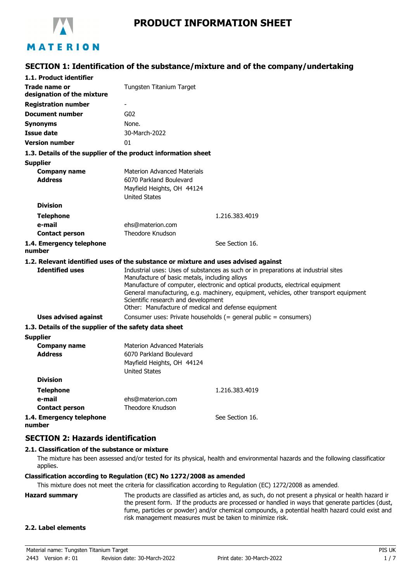

## **SECTION 1: Identification of the substance/mixture and of the company/undertaking**

| 1.1. Product identifier                                       |                                                                                                                              |
|---------------------------------------------------------------|------------------------------------------------------------------------------------------------------------------------------|
| <b>Trade name or</b>                                          | Tungsten Titanium Target                                                                                                     |
| designation of the mixture                                    |                                                                                                                              |
| <b>Registration number</b>                                    | $\overline{\phantom{a}}$                                                                                                     |
| <b>Document number</b>                                        | G <sub>02</sub>                                                                                                              |
| <b>Synonyms</b>                                               | None.                                                                                                                        |
| <b>Issue date</b>                                             | 30-March-2022                                                                                                                |
| <b>Version number</b>                                         | 01                                                                                                                           |
| 1.3. Details of the supplier of the product information sheet |                                                                                                                              |
| <b>Supplier</b>                                               |                                                                                                                              |
| <b>Company name</b>                                           | <b>Materion Advanced Materials</b>                                                                                           |
| <b>Address</b>                                                | 6070 Parkland Boulevard                                                                                                      |
|                                                               | Mayfield Heights, OH 44124                                                                                                   |
|                                                               | <b>United States</b>                                                                                                         |
| <b>Division</b>                                               |                                                                                                                              |
| <b>Telephone</b>                                              | 1.216.383.4019                                                                                                               |
| e-mail                                                        | ehs@materion.com<br><b>Theodore Knudson</b>                                                                                  |
| <b>Contact person</b>                                         |                                                                                                                              |
| 1.4. Emergency telephone<br>number                            | See Section 16.                                                                                                              |
|                                                               | 1.2. Relevant identified uses of the substance or mixture and uses advised against                                           |
| <b>Identified uses</b>                                        | Industrial uses: Uses of substances as such or in preparations at industrial sites                                           |
|                                                               | Manufacture of basic metals, including alloys                                                                                |
|                                                               | Manufacture of computer, electronic and optical products, electrical equipment                                               |
|                                                               | General manufacturing, e.g. machinery, equipment, vehicles, other transport equipment<br>Scientific research and development |
|                                                               | Other: Manufacture of medical and defense equipment                                                                          |
| <b>Uses advised against</b>                                   | Consumer uses: Private households (= general public = consumers)                                                             |
| 1.3. Details of the supplier of the safety data sheet         |                                                                                                                              |
| <b>Supplier</b>                                               |                                                                                                                              |
| <b>Company name</b>                                           | Materion Advanced Materials                                                                                                  |
| <b>Address</b>                                                | 6070 Parkland Boulevard                                                                                                      |
|                                                               | Mayfield Heights, OH 44124                                                                                                   |
|                                                               | <b>United States</b>                                                                                                         |
| <b>Division</b>                                               |                                                                                                                              |
| <b>Telephone</b>                                              | 1.216.383.4019                                                                                                               |
| e-mail                                                        | ehs@materion.com                                                                                                             |
| <b>Contact person</b>                                         | Theodore Knudson                                                                                                             |
| 1.4. Emergency telephone                                      | See Section 16.                                                                                                              |
| number                                                        |                                                                                                                              |

### **SECTION 2: Hazards identification**

#### **2.1. Classification of the substance or mixture**

The mixture has been assessed and/or tested for its physical, health and environmental hazards and the following classification applies.

#### **Classification according to Regulation (EC) No 1272/2008 as amended**

This mixture does not meet the criteria for classification according to Regulation (EC) 1272/2008 as amended.

**Hazard summary** The products are classified as articles and, as such, do not present a physical or health hazard in the present form. If the products are processed or handled in ways that generate particles (dust, fume, particles or powder) and/or chemical compounds, a potential health hazard could exist and risk management measures must be taken to minimize risk.

### **2.2. Label elements**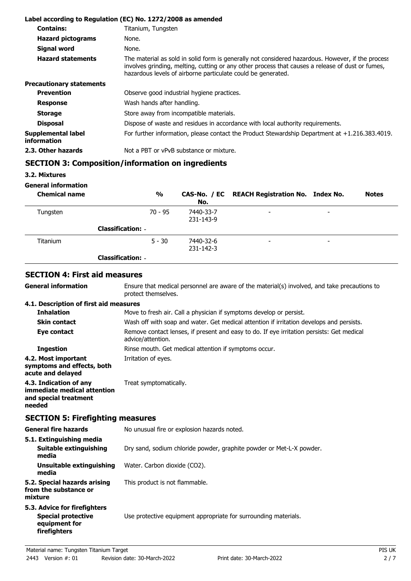|                                          | Label according to Regulation (EC) No. 1272/2008 as amended                                                                                                                                                                                                           |
|------------------------------------------|-----------------------------------------------------------------------------------------------------------------------------------------------------------------------------------------------------------------------------------------------------------------------|
| <b>Contains:</b>                         | Titanium, Tungsten                                                                                                                                                                                                                                                    |
| <b>Hazard pictograms</b>                 | None.                                                                                                                                                                                                                                                                 |
| <b>Signal word</b>                       | None.                                                                                                                                                                                                                                                                 |
| <b>Hazard statements</b>                 | The material as sold in solid form is generally not considered hazardous. However, if the process<br>involves grinding, melting, cutting or any other process that causes a release of dust or fumes,<br>hazardous levels of airborne particulate could be generated. |
| <b>Precautionary statements</b>          |                                                                                                                                                                                                                                                                       |
| <b>Prevention</b>                        | Observe good industrial hygiene practices.                                                                                                                                                                                                                            |
| <b>Response</b>                          | Wash hands after handling.                                                                                                                                                                                                                                            |
| <b>Storage</b>                           | Store away from incompatible materials.                                                                                                                                                                                                                               |
| <b>Disposal</b>                          | Dispose of waste and residues in accordance with local authority requirements.                                                                                                                                                                                        |
| Supplemental label<br><i>information</i> | For further information, please contact the Product Stewardship Department at $+1.216.383.4019$ .                                                                                                                                                                     |
| 2.3. Other hazards                       | Not a PBT or vPvB substance or mixture.                                                                                                                                                                                                                               |

# **SECTION 3: Composition/information on ingredients**

**3.2. Mixtures**

**General information**

**General information**

| <b>Chemical name</b> | $\frac{1}{2}$            | No.                    | CAS-No. / EC REACH Registration No. Index No. |                          | <b>Notes</b> |
|----------------------|--------------------------|------------------------|-----------------------------------------------|--------------------------|--------------|
| Tungsten             | $70 - 95$                | 7440-33-7<br>231-143-9 | $\overline{\phantom{0}}$                      | $\overline{\phantom{0}}$ |              |
|                      | <b>Classification: -</b> |                        |                                               |                          |              |
| Titanium             | $5 - 30$                 | 7440-32-6<br>231-142-3 | $\overline{\phantom{0}}$                      | $\overline{\phantom{0}}$ |              |
|                      | <b>Classification: -</b> |                        |                                               |                          |              |

### **SECTION 4: First aid measures**

Ensure that medical personnel are aware of the material(s) involved, and take precautions to protect themselves.

#### **4.1. Description of first aid measures**

| <b>Inhalation</b>                                                                        | Move to fresh air. Call a physician if symptoms develop or persist.                                            |
|------------------------------------------------------------------------------------------|----------------------------------------------------------------------------------------------------------------|
| <b>Skin contact</b>                                                                      | Wash off with soap and water. Get medical attention if irritation develops and persists.                       |
| Eye contact                                                                              | Remove contact lenses, if present and easy to do. If eye irritation persists: Get medical<br>advice/attention. |
| <b>Ingestion</b>                                                                         | Rinse mouth. Get medical attention if symptoms occur.                                                          |
| 4.2. Most important<br>symptoms and effects, both<br>acute and delayed                   | Irritation of eyes.                                                                                            |
| 4.3. Indication of any<br>immediate medical attention<br>and special treatment<br>needed | Treat symptomatically.                                                                                         |

# **SECTION 5: Firefighting measures**

| <b>General fire hazards</b>                                                                | No unusual fire or explosion hazards noted.                          |
|--------------------------------------------------------------------------------------------|----------------------------------------------------------------------|
| 5.1. Extinguishing media                                                                   |                                                                      |
| Suitable extinguishing<br>media                                                            | Dry sand, sodium chloride powder, graphite powder or Met-L-X powder. |
| Unsuitable extinguishing<br>media                                                          | Water. Carbon dioxide (CO2).                                         |
| 5.2. Special hazards arising<br>from the substance or<br>mixture                           | This product is not flammable.                                       |
| 5.3. Advice for firefighters<br><b>Special protective</b><br>equipment for<br>firefighters | Use protective equipment appropriate for surrounding materials.      |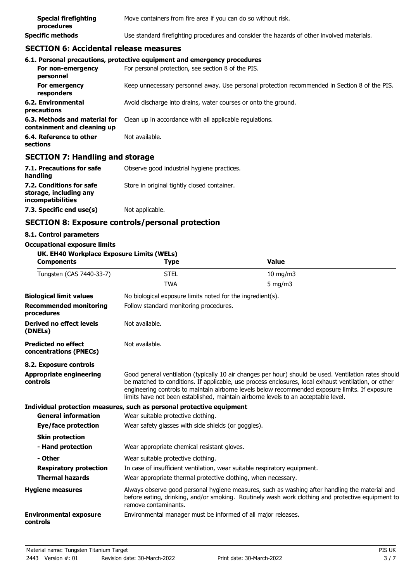| <b>Special firefighting</b><br>procedures | Move containers from fire area if you can do so without risk.                              |
|-------------------------------------------|--------------------------------------------------------------------------------------------|
| <b>Specific methods</b>                   | Use standard firefighting procedures and consider the hazards of other involved materials. |

### **SECTION 6: Accidental release measures**

|                                                              | 6.1. Personal precautions, protective equipment and emergency procedures                      |
|--------------------------------------------------------------|-----------------------------------------------------------------------------------------------|
| For non-emergency<br>personnel                               | For personal protection, see section 8 of the PIS.                                            |
| For emergency<br>responders                                  | Keep unnecessary personnel away. Use personal protection recommended in Section 8 of the PIS. |
| 6.2. Environmental<br>precautions                            | Avoid discharge into drains, water courses or onto the ground.                                |
| 6.3. Methods and material for<br>containment and cleaning up | Clean up in accordance with all applicable regulations.                                       |
| 6.4. Reference to other<br>sections                          | Not available.                                                                                |

## **SECTION 7: Handling and storage**

| 7.1. Precautions for safe<br>handling                                   | Observe good industrial hygiene practices.  |
|-------------------------------------------------------------------------|---------------------------------------------|
| 7.2. Conditions for safe<br>storage, including any<br>incompatibilities | Store in original tightly closed container. |
| 7.3. Specific end use(s)                                                | Not applicable.                             |

## **SECTION 8: Exposure controls/personal protection**

### **8.1. Control parameters**

| <b>Occupational exposure limits</b> |  |  |  |  |
|-------------------------------------|--|--|--|--|
|-------------------------------------|--|--|--|--|

| UK. EH40 Workplace Exposure Limits (WELs)<br><b>Components</b> | Type                                                                  | <b>Value</b>                                                                                                                                                                                                                                                                                                                                                                                           |
|----------------------------------------------------------------|-----------------------------------------------------------------------|--------------------------------------------------------------------------------------------------------------------------------------------------------------------------------------------------------------------------------------------------------------------------------------------------------------------------------------------------------------------------------------------------------|
| Tungsten (CAS 7440-33-7)                                       | <b>STEL</b>                                                           | $10 \text{ mg/m}$                                                                                                                                                                                                                                                                                                                                                                                      |
|                                                                | <b>TWA</b>                                                            | $5$ mg/m $3$                                                                                                                                                                                                                                                                                                                                                                                           |
| <b>Biological limit values</b>                                 | No biological exposure limits noted for the ingredient(s).            |                                                                                                                                                                                                                                                                                                                                                                                                        |
| <b>Recommended monitoring</b><br>procedures                    | Follow standard monitoring procedures.                                |                                                                                                                                                                                                                                                                                                                                                                                                        |
| Derived no effect levels<br>(DNELs)                            | Not available.                                                        |                                                                                                                                                                                                                                                                                                                                                                                                        |
| <b>Predicted no effect</b><br>concentrations (PNECs)           | Not available.                                                        |                                                                                                                                                                                                                                                                                                                                                                                                        |
| 8.2. Exposure controls                                         |                                                                       |                                                                                                                                                                                                                                                                                                                                                                                                        |
| <b>Appropriate engineering</b><br>controls                     |                                                                       | Good general ventilation (typically 10 air changes per hour) should be used. Ventilation rates should<br>be matched to conditions. If applicable, use process enclosures, local exhaust ventilation, or other<br>engineering controls to maintain airborne levels below recommended exposure limits. If exposure<br>limits have not been established, maintain airborne levels to an acceptable level. |
|                                                                | Individual protection measures, such as personal protective equipment |                                                                                                                                                                                                                                                                                                                                                                                                        |
| <b>General information</b>                                     | Wear suitable protective clothing.                                    |                                                                                                                                                                                                                                                                                                                                                                                                        |
| <b>Eye/face protection</b>                                     | Wear safety glasses with side shields (or goggles).                   |                                                                                                                                                                                                                                                                                                                                                                                                        |
| <b>Skin protection</b>                                         |                                                                       |                                                                                                                                                                                                                                                                                                                                                                                                        |
| - Hand protection                                              | Wear appropriate chemical resistant gloves.                           |                                                                                                                                                                                                                                                                                                                                                                                                        |
| - Other                                                        | Wear suitable protective clothing.                                    |                                                                                                                                                                                                                                                                                                                                                                                                        |
| <b>Respiratory protection</b>                                  |                                                                       | In case of insufficient ventilation, wear suitable respiratory equipment.                                                                                                                                                                                                                                                                                                                              |
| <b>Thermal hazards</b>                                         | Wear appropriate thermal protective clothing, when necessary.         |                                                                                                                                                                                                                                                                                                                                                                                                        |
| <b>Hygiene measures</b>                                        | remove contaminants.                                                  | Always observe good personal hygiene measures, such as washing after handling the material and<br>before eating, drinking, and/or smoking. Routinely wash work clothing and protective equipment to                                                                                                                                                                                                    |
| <b>Environmental exposure</b><br>controls                      | Environmental manager must be informed of all major releases.         |                                                                                                                                                                                                                                                                                                                                                                                                        |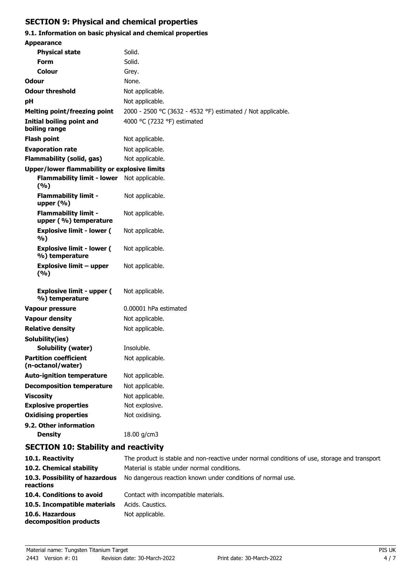# **SECTION 9: Physical and chemical properties**

# **9.1. Information on basic physical and chemical properties**

| <b>Appearance</b>                                    |                                                             |
|------------------------------------------------------|-------------------------------------------------------------|
| <b>Physical state</b>                                | Solid.                                                      |
| <b>Form</b>                                          | Solid.                                                      |
| Colour                                               | Grey.                                                       |
| Odour                                                | None.                                                       |
| <b>Odour threshold</b>                               | Not applicable.                                             |
| рH                                                   | Not applicable.                                             |
| <b>Melting point/freezing point</b>                  | 2000 - 2500 °C (3632 - 4532 °F) estimated / Not applicable. |
| <b>Initial boiling point and</b><br>boiling range    | 4000 °C (7232 °F) estimated                                 |
| <b>Flash point</b>                                   | Not applicable.                                             |
| <b>Evaporation rate</b>                              | Not applicable.                                             |
| <b>Flammability (solid, gas)</b>                     | Not applicable.                                             |
| Upper/lower flammability or explosive limits         |                                                             |
| Flammability limit - lower Not applicable.<br>(%)    |                                                             |
| <b>Flammability limit -</b><br>upper (%)             | Not applicable.                                             |
| <b>Flammability limit -</b><br>upper (%) temperature | Not applicable.                                             |
| <b>Explosive limit - lower (</b><br>%)               | Not applicable.                                             |
| <b>Explosive limit - lower (</b><br>%) temperature   | Not applicable.                                             |
| <b>Explosive limit - upper</b><br>(%)                | Not applicable.                                             |
| <b>Explosive limit - upper (</b><br>%) temperature   | Not applicable.                                             |
| <b>Vapour pressure</b>                               | 0.00001 hPa estimated                                       |
| <b>Vapour density</b>                                | Not applicable.                                             |
| <b>Relative density</b>                              | Not applicable.                                             |
| Solubility(ies)                                      |                                                             |
| Solubility (water)                                   | Insoluble.                                                  |
| <b>Partition coefficient</b><br>(n-octanol/water)    | Not applicable.                                             |
| <b>Auto-ignition temperature</b>                     | Not applicable.                                             |
| <b>Decomposition temperature</b>                     | Not applicable.                                             |
| <b>Viscosity</b>                                     | Not applicable.                                             |
| <b>Explosive properties</b>                          | Not explosive.                                              |
| <b>Oxidising properties</b>                          | Not oxidising.                                              |
| 9.2. Other information                               |                                                             |
| <b>Density</b>                                       | 18.00 g/cm3                                                 |
| <b>SECTION 10: Stability and reactivity</b>          |                                                             |

| 10.1. Reactivity                            | The product is stable and non-reactive under normal conditions of use, storage and transport. |
|---------------------------------------------|-----------------------------------------------------------------------------------------------|
| 10.2. Chemical stability                    | Material is stable under normal conditions.                                                   |
| 10.3. Possibility of hazardous<br>reactions | No dangerous reaction known under conditions of normal use.                                   |
| 10.4. Conditions to avoid                   | Contact with incompatible materials.                                                          |
| 10.5. Incompatible materials                | Acids, Caustics,                                                                              |
| 10.6. Hazardous<br>decomposition products   | Not applicable.                                                                               |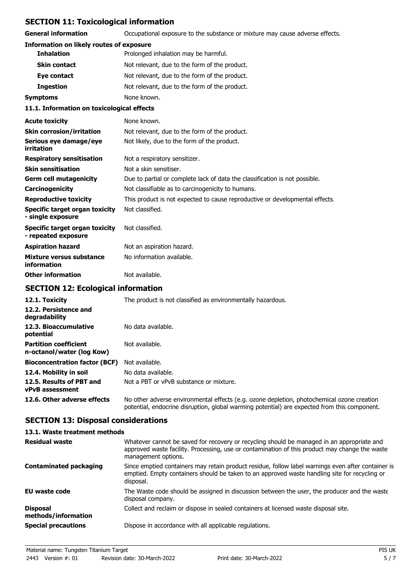# **SECTION 11: Toxicological information**

**General information CCCUPATION** Occupational exposure to the substance or mixture may cause adverse effects.

#### **Information on likely routes of exposure**

|                  | <b>Inhalation</b>   | Prolonged inhalation may be harmful.          |
|------------------|---------------------|-----------------------------------------------|
|                  | <b>Skin contact</b> | Not relevant, due to the form of the product. |
|                  | Eye contact         | Not relevant, due to the form of the product. |
| <b>Ingestion</b> |                     | Not relevant, due to the form of the product. |
| Symptoms         |                     | None known.                                   |
|                  |                     |                                               |

#### **11.1. Information on toxicological effects**

| <b>Acute toxicity</b>                                 | None known.                                                                  |
|-------------------------------------------------------|------------------------------------------------------------------------------|
| <b>Skin corrosion/irritation</b>                      | Not relevant, due to the form of the product.                                |
| Serious eye damage/eye<br>irritation                  | Not likely, due to the form of the product.                                  |
| <b>Respiratory sensitisation</b>                      | Not a respiratory sensitizer.                                                |
| <b>Skin sensitisation</b>                             | Not a skin sensitiser.                                                       |
| <b>Germ cell mutagenicity</b>                         | Due to partial or complete lack of data the classification is not possible.  |
| <b>Carcinogenicity</b>                                | Not classifiable as to carcinogenicity to humans.                            |
| <b>Reproductive toxicity</b>                          | This product is not expected to cause reproductive or developmental effects. |
| Specific target organ toxicity<br>- single exposure   | Not classified.                                                              |
| Specific target organ toxicity<br>- repeated exposure | Not classified.                                                              |
| <b>Aspiration hazard</b>                              | Not an aspiration hazard.                                                    |
| Mixture versus substance<br>information               | No information available.                                                    |
| <b>Other information</b>                              | Not available.                                                               |

# **SECTION 12: Ecological information**

| 12.1. Toxicity                                            | The product is not classified as environmentally hazardous.                                                                                                                                |  |
|-----------------------------------------------------------|--------------------------------------------------------------------------------------------------------------------------------------------------------------------------------------------|--|
| 12.2. Persistence and<br>degradability                    |                                                                                                                                                                                            |  |
| 12.3. Bioaccumulative<br>potential                        | No data available.                                                                                                                                                                         |  |
| <b>Partition coefficient</b><br>n-octanol/water (log Kow) | Not available.                                                                                                                                                                             |  |
| <b>Bioconcentration factor (BCF)</b>                      | Not available.                                                                                                                                                                             |  |
| 12.4. Mobility in soil                                    | No data available.                                                                                                                                                                         |  |
| 12.5. Results of PBT and<br>vPvB assessment               | Not a PBT or vPvB substance or mixture.                                                                                                                                                    |  |
| 12.6. Other adverse effects                               | No other adverse environmental effects (e.g. ozone depletion, photochemical ozone creation<br>potential, endocrine disruption, global warming potential) are expected from this component. |  |

### **SECTION 13: Disposal considerations**

| 13.1. Waste treatment methods          |                                                                                                                                                                                                                     |
|----------------------------------------|---------------------------------------------------------------------------------------------------------------------------------------------------------------------------------------------------------------------|
| <b>Residual waste</b>                  | Whatever cannot be saved for recovery or recycling should be managed in an appropriate and<br>approved waste facility. Processing, use or contamination of this product may change the waste<br>management options. |
| <b>Contaminated packaging</b>          | Since emptied containers may retain product residue, follow label warnings even after container is<br>emptied. Empty containers should be taken to an approved waste handling site for recycling or<br>disposal.    |
| EU waste code                          | The Waste code should be assigned in discussion between the user, the producer and the waste<br>disposal company.                                                                                                   |
| <b>Disposal</b><br>methods/information | Collect and reclaim or dispose in sealed containers at licensed waste disposal site.                                                                                                                                |
| <b>Special precautions</b>             | Dispose in accordance with all applicable regulations.                                                                                                                                                              |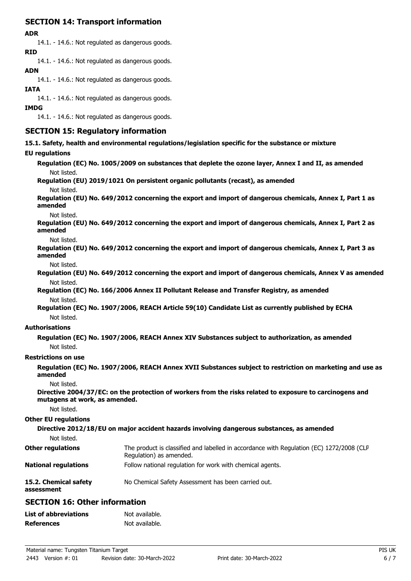# **SECTION 14: Transport information**

#### **ADR**

14.1. - 14.6.: Not regulated as dangerous goods. **RID**

14.1. - 14.6.: Not regulated as dangerous goods.

### **ADN**

14.1. - 14.6.: Not regulated as dangerous goods.

#### **IATA**

14.1. - 14.6.: Not regulated as dangerous goods.

### **IMDG**

14.1. - 14.6.: Not regulated as dangerous goods.

### **SECTION 15: Regulatory information**

**15.1. Safety, health and environmental regulations/legislation specific for the substance or mixture**

# **EU regulations**

| <b>EU regulations</b>               |                                                                                                                     |
|-------------------------------------|---------------------------------------------------------------------------------------------------------------------|
|                                     | Regulation (EC) No. 1005/2009 on substances that deplete the ozone layer, Annex I and II, as amended                |
| Not listed.                         |                                                                                                                     |
|                                     | Regulation (EU) 2019/1021 On persistent organic pollutants (recast), as amended                                     |
| Not listed.                         |                                                                                                                     |
| amended                             | Regulation (EU) No. 649/2012 concerning the export and import of dangerous chemicals, Annex I, Part 1 as            |
| Not listed.                         |                                                                                                                     |
| amended                             | Regulation (EU) No. 649/2012 concerning the export and import of dangerous chemicals, Annex I, Part 2 as            |
| Not listed.                         |                                                                                                                     |
| amended                             | Regulation (EU) No. 649/2012 concerning the export and import of dangerous chemicals, Annex I, Part 3 as            |
| Not listed.                         |                                                                                                                     |
|                                     | Regulation (EU) No. 649/2012 concerning the export and import of dangerous chemicals, Annex V as amended            |
| Not listed.                         |                                                                                                                     |
|                                     | Regulation (EC) No. 166/2006 Annex II Pollutant Release and Transfer Registry, as amended                           |
| Not listed.                         |                                                                                                                     |
|                                     | Regulation (EC) No. 1907/2006, REACH Article 59(10) Candidate List as currently published by ECHA                   |
| Not listed.                         |                                                                                                                     |
| <b>Authorisations</b>               |                                                                                                                     |
|                                     | Regulation (EC) No. 1907/2006, REACH Annex XIV Substances subject to authorization, as amended                      |
| Not listed.                         |                                                                                                                     |
| <b>Restrictions on use</b>          |                                                                                                                     |
| amended                             | Regulation (EC) No. 1907/2006, REACH Annex XVII Substances subject to restriction on marketing and use as           |
| Not listed.                         |                                                                                                                     |
| mutagens at work, as amended.       | Directive 2004/37/EC: on the protection of workers from the risks related to exposure to carcinogens and            |
| Not listed.                         |                                                                                                                     |
| <b>Other EU regulations</b>         |                                                                                                                     |
|                                     | Directive 2012/18/EU on major accident hazards involving dangerous substances, as amended                           |
| Not listed.                         |                                                                                                                     |
| <b>Other regulations</b>            | The product is classified and labelled in accordance with Regulation (EC) 1272/2008 (CLP<br>Regulation) as amended. |
| <b>National regulations</b>         | Follow national regulation for work with chemical agents.                                                           |
| 15.2. Chemical safety<br>assessment | No Chemical Safety Assessment has been carried out.                                                                 |

### **SECTION 16: Other information**

| <b>List of abbreviations</b> | Not available. |
|------------------------------|----------------|
| <b>References</b>            | Not available. |